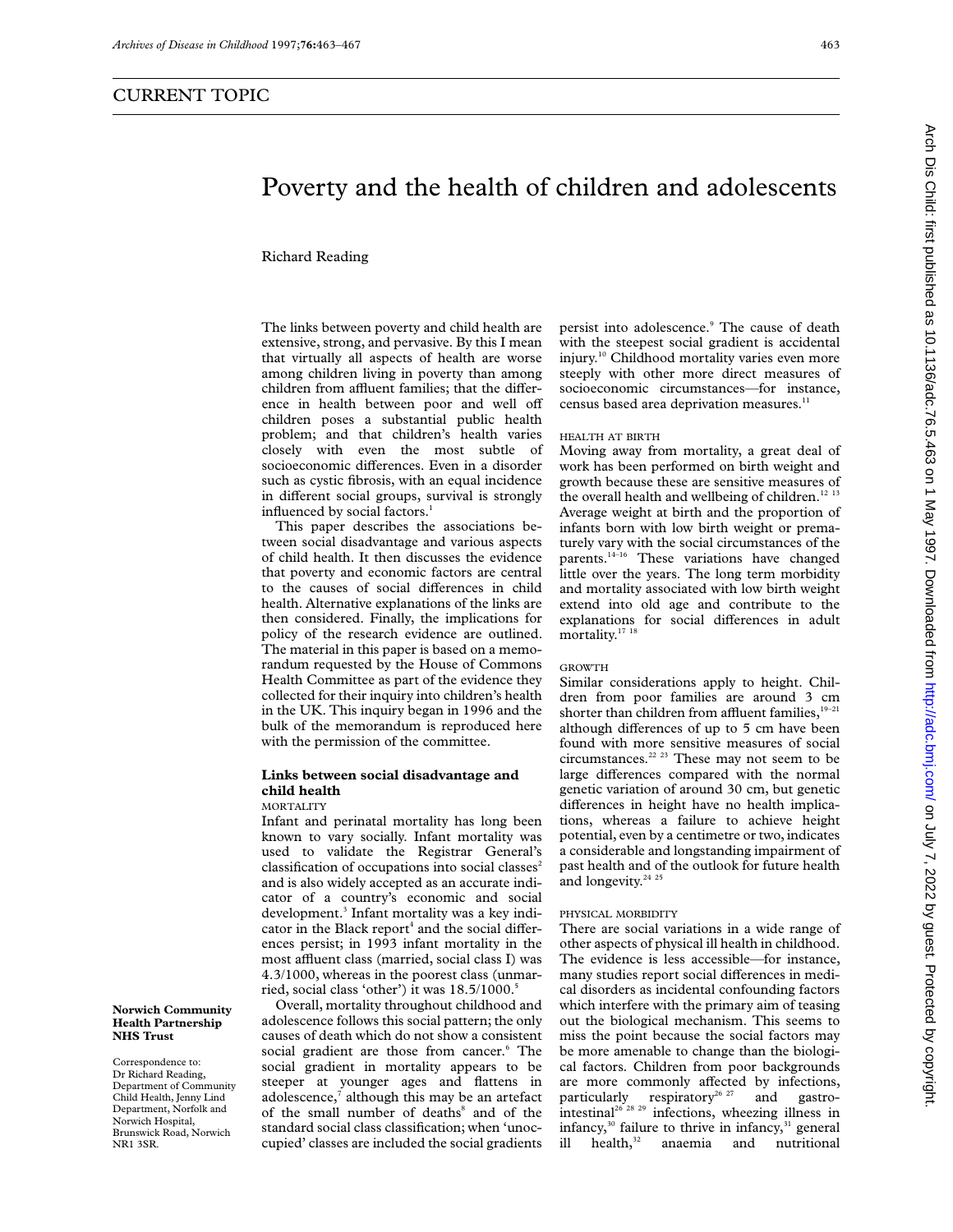# Poverty and the health of children and adolescents

Richard Reading

The links between poverty and child health are extensive, strong, and pervasive. By this I mean that virtually all aspects of health are worse among children living in poverty than among children from affluent families; that the difference in health between poor and well off children poses a substantial public health problem; and that children's health varies closely with even the most subtle of socioeconomic differences. Even in a disorder such as cystic fibrosis, with an equal incidence in different social groups, survival is strongly influenced by social factors.<sup>1</sup>

This paper describes the associations between social disadvantage and various aspects of child health. It then discusses the evidence that poverty and economic factors are central to the causes of social differences in child health. Alternative explanations of the links are then considered. Finally, the implications for policy of the research evidence are outlined. The material in this paper is based on a memorandum requested by the House of Commons Health Committee as part of the evidence they collected for their inquiry into children's health in the UK. This inquiry began in 1996 and the bulk of the memorandum is reproduced here with the permission of the committee.

# **Links between social disadvantage and child health**

## MORTALITY

Infant and perinatal mortality has long been known to vary socially. Infant mortality was used to validate the Registrar General's classification of occupations into social classes<sup>2</sup> and is also widely accepted as an accurate indicator of a country's economic and social development.<sup>3</sup> Infant mortality was a key indicator in the Black report<sup>4</sup> and the social differences persist; in 1993 infant mortality in the most affluent class (married, social class I) was 4.3/1000, whereas in the poorest class (unmarried, social class 'other') it was  $18.5/1000$ .<sup>5</sup>

Overall, mortality throughout childhood and adolescence follows this social pattern; the only causes of death which do not show a consistent social gradient are those from cancer.<sup>6</sup> The social gradient in mortality appears to be steeper at younger ages and flattens in adolescence, $7$  although this may be an artefact of the small number of deaths<sup>8</sup> and of the standard social class classification; when 'unoccupied' classes are included the social gradients

persist into adolescence.<sup>9</sup> The cause of death with the steepest social gradient is accidental injury.10 Childhood mortality varies even more steeply with other more direct measures of socioeconomic circumstances—for instance, census based area deprivation measures.<sup>11</sup>

### HEALTH AT BIRTH

Moving away from mortality, a great deal of work has been performed on birth weight and growth because these are sensitive measures of the overall health and wellbeing of children. $12 13$ Average weight at birth and the proportion of infants born with low birth weight or prematurely vary with the social circumstances of the parents.14–16 These variations have changed little over the years. The long term morbidity and mortality associated with low birth weight extend into old age and contribute to the explanations for social differences in adult mortality.<sup>17</sup><sup>18</sup>

## GROWTH

Similar considerations apply to height. Children from poor families are around 3 cm shorter than children from affluent families, $1^{9-21}$ although differences of up to 5 cm have been found with more sensitive measures of social circumstances. $22 23$  These may not seem to be large differences compared with the normal genetic variation of around 30 cm, but genetic differences in height have no health implications, whereas a failure to achieve height potential, even by a centimetre or two, indicates a considerable and longstanding impairment of past health and of the outlook for future health and longevity.<sup>24 2</sup>

#### PHYSICAL MORBIDITY

There are social variations in a wide range of other aspects of physical ill health in childhood. The evidence is less accessible—for instance, many studies report social differences in medical disorders as incidental confounding factors which interfere with the primary aim of teasing out the biological mechanism. This seems to miss the point because the social factors may be more amenable to change than the biological factors. Children from poor backgrounds are more commonly affected by infections,<br>particularly respiratory<sup>26 27</sup> and gastroparticularly respiratory<sup>26 27</sup> intestinal<sup>26 28</sup> <sup>29</sup> infections, wheezing illness in infancy,<sup>30</sup> failure to thrive in infancy,<sup>31</sup> general ill health,<sup>32</sup> anaemia and nutritional

# **Norwich Community Health Partnership NHS Trust**

Correspondence to: Dr Richard Reading, Department of Community Child Health, Jenny Lind Department, Norfolk and Norwich Hospital, Brunswick Road, Norwich NR1 3SR.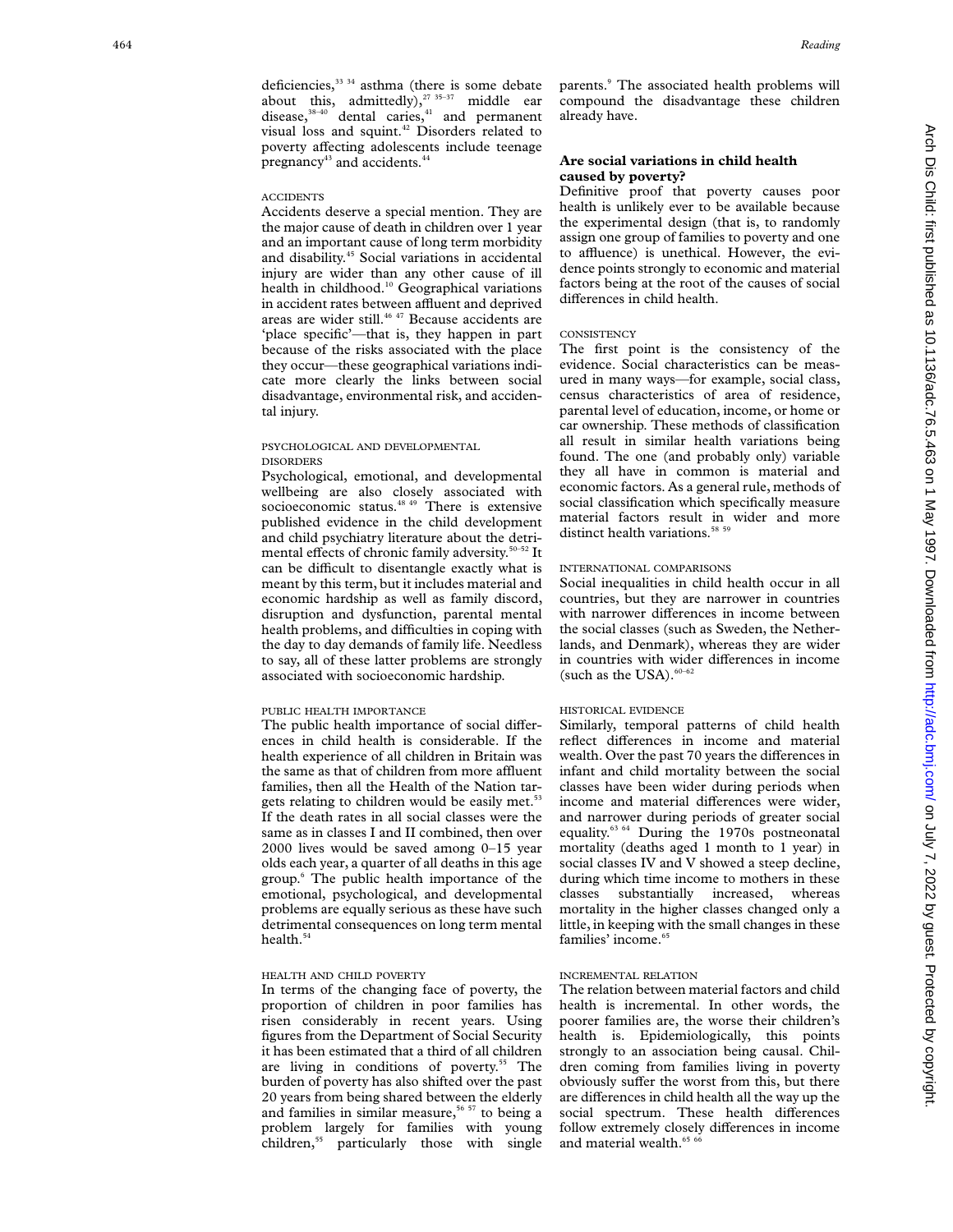deficiencies,<sup>33 34</sup> asthma (there is some debate about this, admittedly),<sup>27 35-37</sup> middle ear disease, $38-40$  dental caries, $41$  and permanent visual loss and squint.<sup>42</sup> Disorders related to

pregnancy<sup>43</sup> and accidents.<sup>44</sup>

#### **ACCIDENTS**

Accidents deserve a special mention. They are the major cause of death in children over 1 year and an important cause of long term morbidity and disability.45 Social variations in accidental injury are wider than any other cause of ill health in childhood.<sup>10</sup> Geographical variations in accident rates between affluent and deprived areas are wider still.<sup>46 47</sup> Because accidents are 'place specific'—that is, they happen in part because of the risks associated with the place they occur—these geographical variations indicate more clearly the links between social disadvantage, environmental risk, and accidental injury.

poverty affecting adolescents include teenage

#### PSYCHOLOGICAL AND DEVELOPMENTAL DISORDERS

Psychological, emotional, and developmental wellbeing are also closely associated with socioeconomic status.<sup>48 49</sup> There is extensive published evidence in the child development and child psychiatry literature about the detrimental effects of chronic family adversity.<sup>50-52</sup> It can be difficult to disentangle exactly what is meant by this term, but it includes material and economic hardship as well as family discord, disruption and dysfunction, parental mental health problems, and difficulties in coping with the day to day demands of family life. Needless to say, all of these latter problems are strongly associated with socioeconomic hardship.

#### PUBLIC HEALTH IMPORTANCE

The public health importance of social differences in child health is considerable. If the health experience of all children in Britain was the same as that of children from more affluent families, then all the Health of the Nation targets relating to children would be easily met.<sup>53</sup> If the death rates in all social classes were the same as in classes I and II combined, then over 2000 lives would be saved among 0–15 year olds each year, a quarter of all deaths in this age group. <sup>6</sup> The public health importance of the emotional, psychological, and developmental problems are equally serious as these have such detrimental consequences on long term mental health.<sup>54</sup>

## HEALTH AND CHILD POVERTY

In terms of the changing face of poverty, the proportion of children in poor families has risen considerably in recent years. Using figures from the Department of Social Security it has been estimated that a third of all children are living in conditions of poverty.<sup>55</sup> The burden of poverty has also shifted over the past 20 years from being shared between the elderly and families in similar measure,<sup>56 57</sup> to being a problem largely for families with young children,<sup>55</sup> particularly those with single

parents. <sup>9</sup> The associated health problems will compound the disadvantage these children already have.

# **Are social variations in child health caused by poverty?**

Definitive proof that poverty causes poor health is unlikely ever to be available because the experimental design (that is, to randomly assign one group of families to poverty and one to affluence) is unethical. However, the evidence points strongly to economic and material factors being at the root of the causes of social differences in child health.

#### **CONSISTENCY**

The first point is the consistency of the evidence. Social characteristics can be measured in many ways—for example, social class, census characteristics of area of residence, parental level of education, income, or home or car ownership. These methods of classification all result in similar health variations being found. The one (and probably only) variable they all have in common is material and economic factors. As a general rule, methods of social classification which specifically measure material factors result in wider and more distinct health variations.<sup>58 59</sup>

#### INTERNATIONAL COMPARISONS

Social inequalities in child health occur in all countries, but they are narrower in countries with narrower differences in income between the social classes (such as Sweden, the Netherlands, and Denmark), whereas they are wider in countries with wider differences in income (such as the USA). $60-62$ 

#### HISTORICAL EVIDENCE

Similarly, temporal patterns of child health reflect differences in income and material wealth. Over the past 70 years the differences in infant and child mortality between the social classes have been wider during periods when income and material differences were wider, and narrower during periods of greater social equality.<sup>63 64</sup> During the 1970s postneonatal mortality (deaths aged 1 month to 1 year) in social classes IV and V showed a steep decline, during which time income to mothers in these classes substantially increased, whereas mortality in the higher classes changed only a little, in keeping with the small changes in these families' income.<sup>65</sup>

# INCREMENTAL RELATION

The relation between material factors and child health is incremental. In other words, the poorer families are, the worse their children's health is. Epidemiologically, this points strongly to an association being causal. Children coming from families living in poverty obviously suffer the worst from this, but there are differences in child health all the way up the social spectrum. These health differences follow extremely closely differences in income and material wealth.<sup>65 6</sup>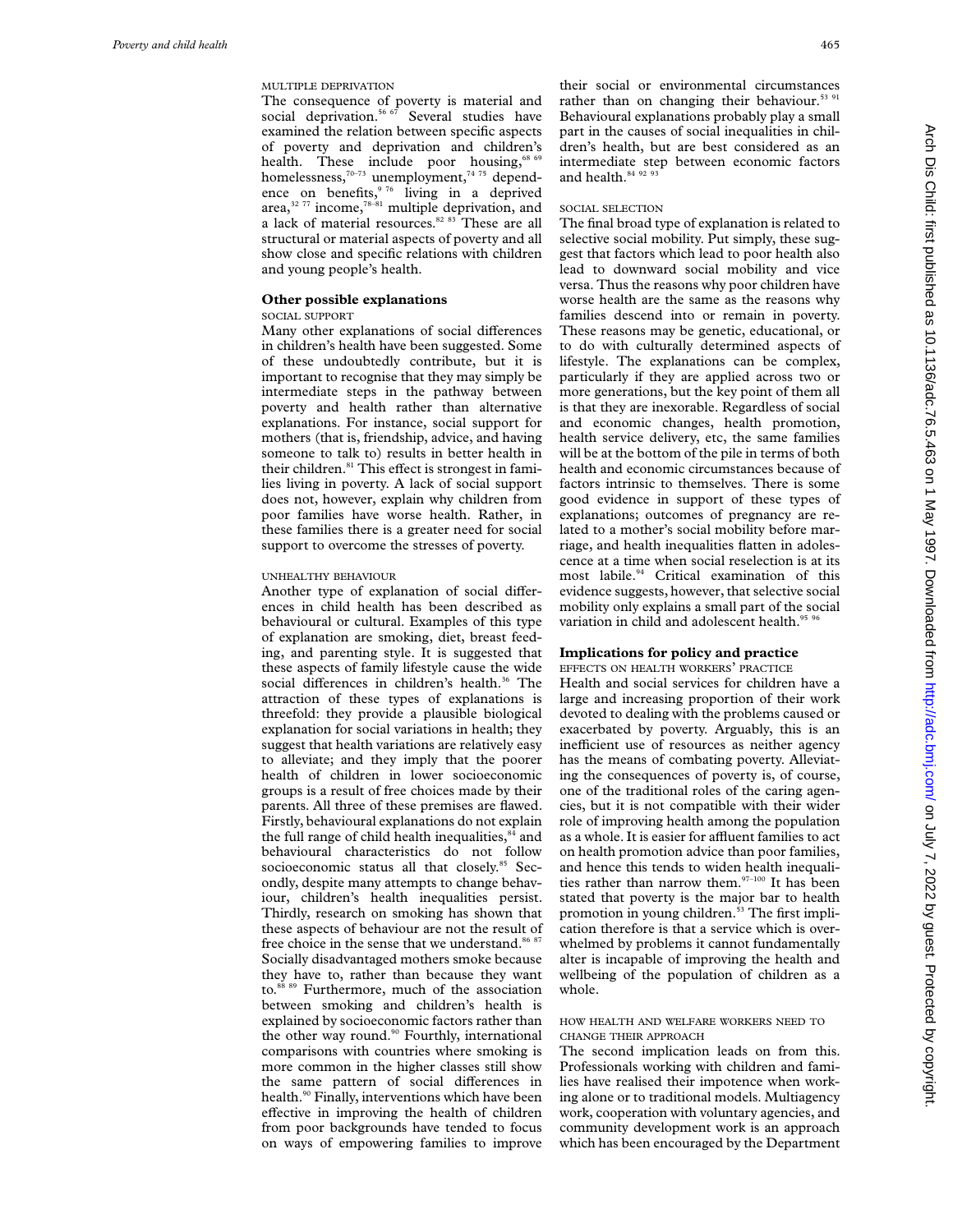# MULTIPLE DEPRIVATION

The consequence of poverty is material and social deprivation.<sup>56 67</sup> Several studies have examined the relation between specific aspects of poverty and deprivation and children's health. These include poor housing,<sup>68 69</sup> homelessness, $70-73$  unemployment, $7475$  dependence on benefits,  $976$  living in a deprived area, $32 77$  income, $78-81$  multiple deprivation, and a lack of material resources.<sup>82 83</sup> These are all structural or material aspects of poverty and all show close and specific relations with children and young people's health.

## **Other possible explanations**

#### SOCIAL SUPPORT

Many other explanations of social differences in children's health have been suggested. Some of these undoubtedly contribute, but it is important to recognise that they may simply be intermediate steps in the pathway between poverty and health rather than alternative explanations. For instance, social support for mothers (that is, friendship, advice, and having someone to talk to) results in better health in their children.<sup>81</sup> This effect is strongest in families living in poverty. A lack of social support does not, however, explain why children from poor families have worse health. Rather, in these families there is a greater need for social support to overcome the stresses of poverty.

#### UNHEALTHY BEHAVIOUR

Another type of explanation of social differences in child health has been described as behavioural or cultural. Examples of this type of explanation are smoking, diet, breast feeding, and parenting style. It is suggested that these aspects of family lifestyle cause the wide social differences in children's health.<sup>36</sup> The attraction of these types of explanations is threefold: they provide a plausible biological explanation for social variations in health; they suggest that health variations are relatively easy to alleviate; and they imply that the poorer health of children in lower socioeconomic groups is a result of free choices made by their parents. All three of these premises are flawed. Firstly, behavioural explanations do not explain the full range of child health inequalities,<sup>84</sup> and behavioural characteristics do not follow socioeconomic status all that closely.<sup>85</sup> Secondly, despite many attempts to change behaviour, children's health inequalities persist. Thirdly, research on smoking has shown that these aspects of behaviour are not the result of free choice in the sense that we understand.<sup>86 87</sup> Socially disadvantaged mothers smoke because they have to, rather than because they want to.<sup>88 89</sup> Furthermore, much of the association between smoking and children's health is explained by socioeconomic factors rather than the other way round.<sup>90</sup> Fourthly, international comparisons with countries where smoking is more common in the higher classes still show the same pattern of social differences in health.<sup>90</sup> Finally, interventions which have been effective in improving the health of children from poor backgrounds have tended to focus on ways of empowering families to improve

their social or environmental circumstances rather than on changing their behaviour.<sup>53 91</sup> Behavioural explanations probably play a small part in the causes of social inequalities in children's health, but are best considered as an intermediate step between economic factors and health.<sup>84 92 93</sup>

#### SOCIAL SELECTION

The final broad type of explanation is related to selective social mobility. Put simply, these suggest that factors which lead to poor health also lead to downward social mobility and vice versa. Thus the reasons why poor children have worse health are the same as the reasons why families descend into or remain in poverty. These reasons may be genetic, educational, or to do with culturally determined aspects of lifestyle. The explanations can be complex, particularly if they are applied across two or more generations, but the key point of them all is that they are inexorable. Regardless of social and economic changes, health promotion, health service delivery, etc, the same families will be at the bottom of the pile in terms of both health and economic circumstances because of factors intrinsic to themselves. There is some good evidence in support of these types of explanations; outcomes of pregnancy are related to a mother's social mobility before marriage, and health inequalities flatten in adolescence at a time when social reselection is at its most labile.<sup>94</sup> Critical examination of this evidence suggests, however, that selective social mobility only explains a small part of the social variation in child and adolescent health.<sup>95 9</sup>

# **Implications for policy and practice**

EFFECTS ON HEALTH WORKERS' PRACTICE

Health and social services for children have a large and increasing proportion of their work devoted to dealing with the problems caused or exacerbated by poverty. Arguably, this is an inefficient use of resources as neither agency has the means of combating poverty. Alleviating the consequences of poverty is, of course, one of the traditional roles of the caring agencies, but it is not compatible with their wider role of improving health among the population as a whole. It is easier for affluent families to act on health promotion advice than poor families, and hence this tends to widen health inequalities rather than narrow them. $97-100$  It has been stated that poverty is the major bar to health promotion in young children.<sup>53</sup> The first implication therefore is that a service which is overwhelmed by problems it cannot fundamentally alter is incapable of improving the health and wellbeing of the population of children as a whole.

#### HOW HEALTH AND WELFARE WORKERS NEED TO CHANGE THEIR APPROACH

The second implication leads on from this. Professionals working with children and families have realised their impotence when working alone or to traditional models. Multiagency work, cooperation with voluntary agencies, and community development work is an approach which has been encouraged by the Department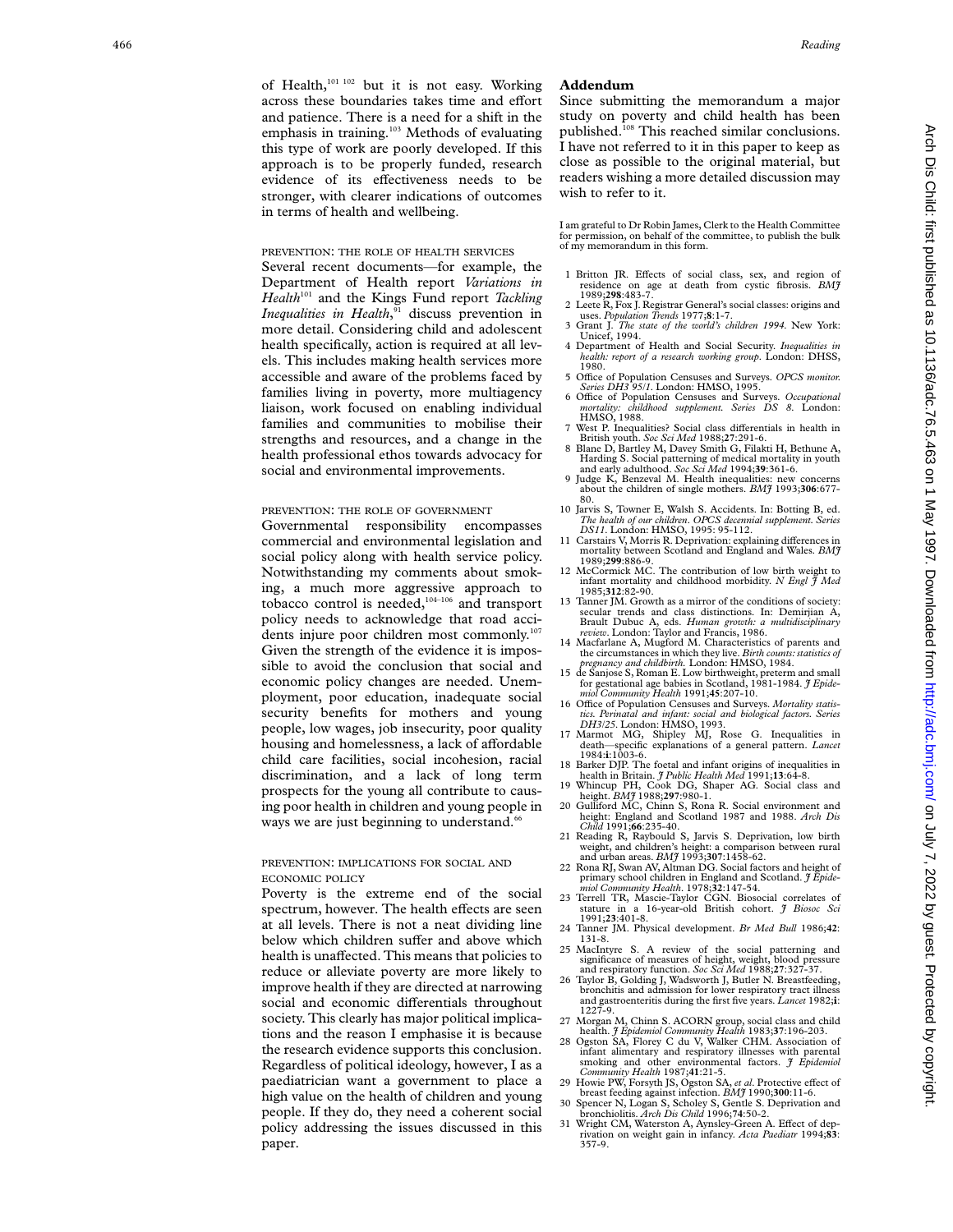of Health,<sup>101 102</sup> but it is not easy. Working across these boundaries takes time and effort and patience. There is a need for a shift in the emphasis in training.<sup>103</sup> Methods of evaluating this type of work are poorly developed. If this approach is to be properly funded, research evidence of its effectiveness needs to be stronger, with clearer indications of outcomes in terms of health and wellbeing.

## PREVENTION : THE ROLE OF HEALTH SERVICES

Several recent documents—for example, the Department of Health report *Variations in Health*<sup>101</sup> and the Kings Fund report *Tackling Inequalities in Health* , <sup>91</sup> discuss prevention in more detail. Considering child and adolescent health specifically, action is required at all levels. This includes making health services more accessible and aware of the problems faced by families living in poverty, more multiagency liaison, work focused on enabling individual families and communities to mobilise their strengths and resources, and a change in the health professional ethos towards advocacy for social and environmental improvements.

#### PREVENTION: THE ROLE OF GOVERNMENT

Governmental responsibility encompasses commercial and environmental legislation and social policy along with health service policy. Notwithstanding my comments about smoking, a much more aggressive approach to tobacco control is needed,<sup>104-106</sup> and transport policy needs to acknowledge that road accidents injure poor children most commonly.<sup>107</sup> Given the strength of the evidence it is impossible to avoid the conclusion that social and economic policy changes are needed. Unemployment, poor education, inadequate social security benefits for mothers and young people, low wages, job insecurity, poor quality housing and homelessness, a lack of affordable child care facilities, social incohesion, racial discrimination, and a lack of long term prospects for the young all contribute to causing poor health in children and young people in ways we are just beginning to understand.<sup>66</sup>

## PREVENTION : IMPLICATIONS FOR SOCIAL AND ECONOMIC POLICY

Poverty is the extreme end of the social spectrum, however. The health effects are seen at all levels. There is not a neat dividing line below which children suffer and above which health is unaffected. This means that policies to reduce or alleviate poverty are more likely to improve health if they are directed at narrowing social and economic differentials throughout society. This clearly has major political implications and the reason I emphasise it is because the research evidence supports this conclusion. Regardless of political ideology, however, I as a paediatrician want a government to place a high value on the health of children and young people. If they do, they need a coherent social policy addressing the issues discussed in this paper.

# **Addendum**

Since submitting the memorandum a major study on poverty and child health has been published.108 This reached similar conclusions. I have not referred to it in this paper to keep as close as possible to the original material, but readers wishing a more detailed discussion may wish to refer to it.

I am grateful to Dr Robin James, Clerk to the Health Committee for permission, on behalf of the committee, to publish the bulk of my memorandum in this form.

- 1 Britton JR. Effects of social class, sex, and region of residence on age at death from cystic fibrosis. *BMJ* 1989;**298**:483-7.
- 2 Leete R, Fox J. Registrar General's social classes: origins and uses. *Population Trends* 1977;**8**:1-7. 3 Grant J. *The state of the world's children 1994*. New York:
- Unicef, 1994.
- 4 Department of Health and Social Security. *Inequalities in health: report of a research working group*. London: DHSS, 1980.
- 5 Office of Population Censuses and Surveys. *OPCS monitor*. *Series DH3 95/1*. London: HMSO, 1995.
- 6 O Yce of Population Censuses and Surveys. *Occupational mortality: childhood supplement. Series DS 8*. London: HMSO, 1988.
- 7 West P. Inequalities? Social class differentials in health in British youth. *Soc Sci Med* 1988;**27**:291-6. 8 Blane D, Bartley M, Davey Smith G, Filakti H, Bethune A,
- Harding S. Social patterning of medical mortality in youth and early adulthood. *Soc Sci Med* 1994;**39**:361-6.
- 9 Judge K, Benzeval M. Health inequalities: new concerns about the children of single mothers. *BMJ* 1993;**306**:677- 80.
- 10 Jarvis S, Towner E, Walsh S. Accidents. In: Botting B, ed. *The health of our children* . *OPCS decennial supplement. Series DS11*. London: HMSO, 1995: 95-112.
- 11 Carstairs V, Morris R. Deprivation: explaining differences in mortality between Scotland and England and Wales. *BMJ*
- 12 McCormick MC. The contribution of low birth weight to infant mortality and childhood morbidity. *N Engl*  $\widetilde{J}$  *Med* 1985;312:82-90.
- 1985;**312**:82-90. 13 Tanner JM. Growth as a mirror of the conditions of society: secular trends and class distinctions. In: Demirjian A, Brault Dubuc A, eds. *Human growth: a multidisciplinary review*. London: Taylor and Francis, 1986.
- 14 Macfarlane A, Mugford M. Characteristics of parents and the circumstances in which they live. *Birth counts: statistics of pregnancy and childbirth.* London: HMSO, 1984.
- 15 de Sanjose S, Roman E. Low birthweight, preterm and small for gestational age babies in Scotland, 1981-1984. *J Epide-miol Community Health* 1991;**45**:207-10.
- 16 Office of Population Censuses and Surveys. Mortality statis*tics. Perinatal and infant: social and biological factors. Series*
- *DH3/25*. London: HMSO, 1993. 17 Marmot MG, Shipley MJ, Rose G. Inequalities in death—specific explanations of a general pattern. *Lancet* 1984:**i**:1003-6. 1984:1:1003-6.<br>18 Barker DIP. The foetal and infant origins of inequalities in
- health in Britain. *J Public Health Med* 1991;13:64-8.<br>19 Whincup PH, Cook DG, Shaper AG. Social class and
- height. *BMJ* 1988;**297**:980-1. 20 Gulliford MC, Chinn S, Rona R. Social environment and
- height: England and Scotland 1987 and 1988. *Arch Dis Child* 1991;**66**:235-40.
- 21 Reading R, Raybould S, Jarvis S. Deprivation, low birth weight, and children's height: a comparison between rural
- and urban areas. *BMJ* 1993;**307**:1458-62. 22 Rona RJ, Swan AV, Altman DG. Social factors and height of primary school children in England and Scotland. *J Epide-*
- *miol Community Health*. 1978;**32**:147-54. 23 Terrell TR, Mascie-Taylor CGN. Biosocial correlates of stature in a 16-year-old British cohort. *J Biosoc Sci* 1991;**23**:401-8.
- 24 Tanner JM. Physical development. *Br Med Bull* 1986;**42** : 131-8.
- 25 MacIntyre S. A review of the social patterning and significance of measures of height, weight, blood pressure and respiratory function. *Soc Sci Med* 1988;**27**:327-37.
- 26 Taylor B, Golding J, Wadsworth J, Butler N. Breastfeeding, bronchitis and admission for lower respiratory tract illness bronchitis and admission for lower respiratory tract illness and gastroenteritis during the first five years. *Lancet* 1982; **i** : 1227-9.
- 27 Morgan M, Chinn S. ACORN group, social class and child health. *J Epidemiol Community Health* 1983;**37**:196-203.
- 28 Ogston SA, Florey C du V, Walker CHM. Association of infant alimentary and respiratory illnesses with parental smoking and other environmental factors. *J Epidemiol Community Health* 1987;**41**:21-5.
- 29 Howie PW, Forsyth JS, Ogston SA, et al. Protective effect of breast feeding against infection. *BMJ* 1990;**300**:11-6.
- 30 Spencer N, Logan S, Scholey S, Gentle S. Deprivation and bronchiolitis. *Arch Dis Child* 1996;**74**:50-2.
- 31 Wright CM, Waterston A, Aynsley-Green A. Effect of deprivation on weight gain in infancy. *Acta Paediatr* 1994;**83**: 357-9.